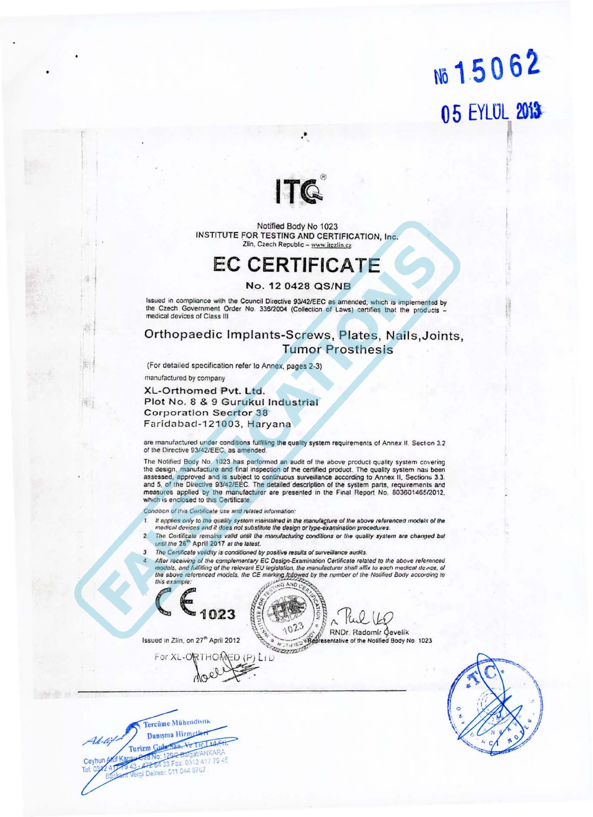## No 15062 05 EYLUL 2013



Notified Body No 1023 INSTITUTE FOR TESTING AND CERTIFICATION, Inc. Zlin, Czech Republic - www.itezlin.cz

### **EC CERTIFICATE**

#### No. 12 0428 QS/NB

Issued in compliance with the Council Directive 93/42/EEC as amended, which is implemented by the Czech Government Order No. 336/2004 (Collection of Laws) certifies that the products medical devices of Class III

### Orthopaedic Implants-Screws, Plates, Nails, Joints, **Tumor Prosthesis**

(For detailed specification refer to Annex, pages 2-3) manufactured by company

XL-Orthomed Pvt. Ltd. Plot No. 8 & 9 Gurukul Industrial **Corporation Secrtor 38** Faridabad-121003, Haryana

are manufactured under conditions fulfilling the quality system requirements of Annex II. Section 3.2 of the Directive 93/42/EEC, as amended.

The Notified Body No. 1023 has performed an audit of the above product quality system covering the design, manufacture and final inspection of the certified product. The quality system has been assessed, approved and is subject to continuous surveillance according to Annex II, Sections 3.3. and 5, of the Directive 93/42/EEC. The detailed description of the system parts, requirements and measures applied by the manufacturer are presented in the Final Report No. 803601465/2012, which is enclosed to this Certificate.

Condition of this Certificate use and related information:

- It applies only to the quality system maintained in the manufacture of the above referenced models of the medical devices and it does not substitute the design or type-examination procedures.
- The Cortificale remains valid until the manufacturing conditions or the quality system are changed but until the 26<sup>th</sup> April 2017 at the latest.
- The Certificate validity is conditioned by positive results of surveillance audits.
- After receiving of the complementary EC Design-Examination Certificate related to the above referenced models, and fulfilling of the relevant EU legislation, the manufacturer shall affix to each medical dence, of<br>the above referenced models, the CE marking followed by the number of the Notified Body according to<br>this exampl this example:

1023

 $\Lambda$ 

**KNDr. Radomir Čevelik**<br>Az Zirišo **Representative** of the Notified Body No. 1023

For XL-ORTHOMED (P) LID

Issued in Zlin, on 27<sup>th</sup> April 2012

**Tercüme Mühendisuk** Danışma Hizmetler U. til Turizm Gula San, Ve Tic, Ltd, Str. No: 1292-Balgat/ANKARA 472 64 33 Fax: 0312 417 79 48 Ceyhun Vergi Daires: 011 044 9767

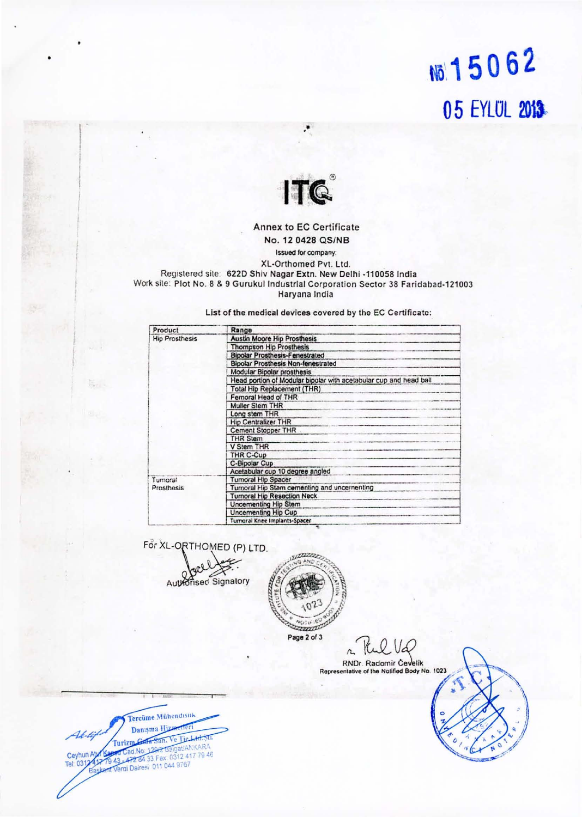### 15062 05 EYLUL 2013



### Annex to EC Certificate No. 12 0428 QS/NB

Issued for company: XL-Orthomed Pvt. Ltd. Registered site: 622D Shiv Nagar Extn. New Delhi -110058 India Work site: Plot No. 8 & 9 Gurukul Industrial Corporation Sector 38 Faridabad-121003 Haryana India

List of the medical devices covered by the EC Certificate:

| Product               | Range                                                             |
|-----------------------|-------------------------------------------------------------------|
| <b>Hip Prosthesis</b> | <b>Austin Moore Hip Prosthesis</b>                                |
|                       | <b>Thompson Hip Prosthesis</b>                                    |
|                       | <b>Bipolar Prosthesis-Fenestrated</b>                             |
|                       | <b>Bipolar Prosthesis Non-fenestrated</b>                         |
|                       | <b>Modular Bipolar prosthesis</b>                                 |
|                       | Head portion of Modular bipolar with acetabular cup and head ball |
|                       | Total Hip Replacement (THR)                                       |
|                       | Femoral Head of THR                                               |
|                       | <b>Muller Stem THR</b>                                            |
|                       | Long stem THR                                                     |
|                       | <b>Hip Centralizer THR</b>                                        |
|                       | Cement Stopper THR                                                |
|                       | THR Stem                                                          |
|                       | V Stem THR                                                        |
|                       | THR C-Cup                                                         |
|                       | C-Bipolar Cup                                                     |
|                       | Acetabular cup 10 degree angled                                   |
| Tumoral<br>Prosthesis | <b>Turnoral Hip Spacer</b>                                        |
|                       | Turnoral Hip Stam cementing and uncernenting                      |
|                       | <b>Turnoral Hip Resection Neck</b>                                |
|                       | <b>Uncementing Hip Stem</b>                                       |
|                       | Uncementing Hip Cup                                               |
|                       | Tumoral Knee Implants-Spacer                                      |

For XL-ORTHOMED (P) LTD.



ama Page 2 of 3

VQ  $\Delta$ 

RNDr. Radomir Čevelik<br>Representative of the Notified Body No. 1023

Tercüme Mühendisuk Danışma Hiza Tie **Furizm** igat/ANKARA d.No: 129/2 B 472 84 33 Fax: 0312 417 79 46 Ceyhun At Vergi Dairesi 011 044 9767 Tel: 031

税人